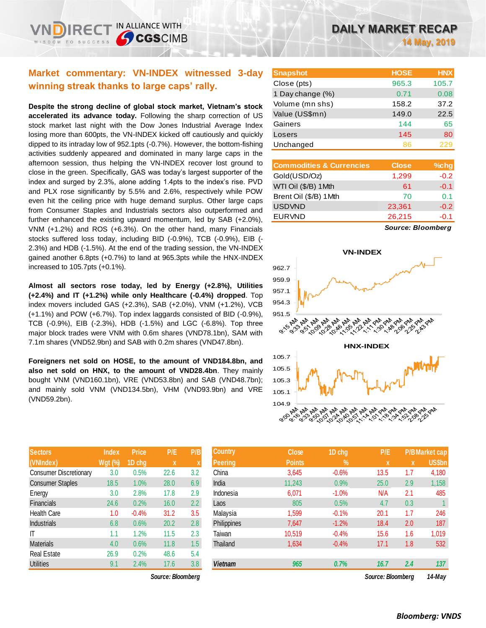# **Market commentary: VN-INDEX witnessed 3-day winning streak thanks to large caps' rally.**

**Despite the strong decline of global stock market, Vietnam's stock accelerated its advance today.** Following the sharp correction of US stock market last night with the Dow Jones Industrial Average Index losing more than 600pts, the VN-INDEX kicked off cautiously and quickly dipped to its intraday low of 952.1pts (-0.7%). However, the bottom-fishing activities suddenly appeared and dominated in many large caps in the afternoon session, thus helping the VN-INDEX recover lost ground to close in the green. Specifically, GAS was today's largest supporter of the index and surged by 2.3%, alone adding 1.4pts to the index's rise. PVD and PLX rose significantly by 5.5% and 2.6%, respectively while POW even hit the ceiling price with huge demand surplus. Other large caps from Consumer Staples and Industrials sectors also outperformed and further enhanced the existing upward momentum, led by SAB (+2.0%), VNM (+1.2%) and ROS (+6.3%). On the other hand, many Financials stocks suffered loss today, including BID (-0.9%), TCB (-0.9%), EIB (- 2.3%) and HDB (-1.5%). At the end of the trading session, the VN-INDEX gained another 6.8pts (+0.7%) to land at 965.3pts while the HNX-INDEX increased to 105.7pts (+0.1%).

**Almost all sectors rose today, led by Energy (+2.8%), Utilities (+2.4%) and IT (+1.2%) while only Healthcare (-0.4%) dropped**. Top index movers included GAS (+2.3%), SAB (+2.0%), VNM (+1.2%), VCB (+1.1%) and POW (+6.7%). Top index laggards consisted of BID (-0.9%), TCB (-0.9%), EIB (-2.3%), HDB (-1.5%) and LGC (-6.8%). Top three major block trades were VNM with 0.6m shares (VND78.1bn), SAM with 7.1m shares (VND52.9bn) and SAB with 0.2m shares (VND47.8bn).

**Foreigners net sold on HOSE, to the amount of VND184.8bn, and also net sold on HNX, to the amount of VND28.4bn**. They mainly bought VNM (VND160.1bn), VRE (VND53.8bn) and SAB (VND48.7bn); and mainly sold VNM (VND134.5bn), VHM (VND93.9bn) and VRE (VND59.2bn).

| <b>Sectors</b>                | <b>Index</b>   | <b>Price</b> | P/E  | P/B |
|-------------------------------|----------------|--------------|------|-----|
| (VNIndex)                     | <b>Wgt (%)</b> | 1D chg       | X    | X   |
| <b>Consumer Discretionary</b> | 3.0            | 0.5%         | 22.6 | 3.2 |
| <b>Consumer Staples</b>       | 18.5           | 1.0%         | 28.0 | 6.9 |
| Energy                        | 3.0            | 2.8%         | 17.8 | 2.9 |
| <b>Financials</b>             | 24.6           | 0.2%         | 16.0 | 2.2 |
| <b>Health Care</b>            | 1.0            | $-0.4%$      | 31.2 | 3.5 |
| <b>Industrials</b>            | 6.8            | 0.6%         | 20.2 | 2.8 |
| IT                            | 1.1            | 1.2%         | 11.5 | 2.3 |
| <b>Materials</b>              | 4.0            | 0.6%         | 11.8 | 1.5 |
| <b>Real Estate</b>            | 26.9           | 0.2%         | 48.6 | 5.4 |
| <b>Utilities</b>              | 9.1            | 2.4%         | 17.6 | 3.8 |

| <b>Snapshot</b>  | <b>HOSE</b> | <b>HNX</b> |
|------------------|-------------|------------|
| Close (pts)      | 965.3       | 105.7      |
| 1 Day change (%) | 0.71        | 0.08       |
| Volume (mn shs)  | 158.2       | 37.2       |
| Value (US\$mn)   | 149.0       | 22.5       |
| Gainers          | 144         | 65         |
| Losers           | 145         | 80         |
| Unchanged        | 86          | 229        |
|                  |             |            |

| <b>Commodities &amp; Currencies</b> | <b>Close</b> | $%$ chg |
|-------------------------------------|--------------|---------|
| Gold(USD/Oz)                        | 1,299        | $-0.2$  |
| WTI Oil (\$/B) 1 Mth                | 61           | $-0.1$  |
| Brent Oil (\$/B) 1Mth               | 70           | 0.1     |
| <b>USDVND</b>                       | 23,361       | $-0.2$  |
| <b>EURVND</b>                       | 26,215       | $-0.1$  |
|                                     |              |         |

*Source: Bloomberg*



| <b>Sectors</b>          | <b>Index</b>   | <b>Price</b> | P/E  | P/B           | <b>Country</b> | <b>Close</b>  | 1D chg  | P/E  |          | <b>P/B Market cap</b> |
|-------------------------|----------------|--------------|------|---------------|----------------|---------------|---------|------|----------|-----------------------|
| (VNIndex)               | <b>Wgt (%)</b> | 1D chg       | X    |               | <b>Peering</b> | <b>Points</b> | $\%$    | X    | <b>X</b> | US\$bn                |
| Consumer Discretionary  | 3.0            | 0.5%         | 22.6 | 3.2           | China          | 3,645         | $-0.6%$ | 13.5 | 1.7      | 4,180                 |
| <b>Consumer Staples</b> | 18.5           | 1.0%         | 28.0 | 6.9           | India          | 11,243        | 0.9%    | 25.0 | 2.9      | 1,158                 |
| Energy                  | 3.0            | 2.8%         | 17.8 | 2.9           | Indonesia      | 6,071         | $-1.0%$ | N/A  | 2.1      | 485                   |
| Financials              | 24.6           | 0.2%         | 16.0 | $2.2^{\circ}$ | Laos           | 805           | 0.5%    | 4.7  | 0.3      |                       |
| Health Care             | 1.0            | $-0.4%$      | 31.2 | 3.5           | Malaysia       | 1,599         | $-0.1%$ | 20.1 | 1.7      | 246                   |
| Industrials             | 6.8            | 0.6%         | 20.2 | 2.8           | Philippines    | 7,647         | $-1.2%$ | 18.4 | 2.0      | 187                   |
|                         | 1.1            | .2%          | 11.5 | 2.3           | Taiwan         | 10,519        | $-0.4%$ | 15.6 | 1.6      | 1,019                 |
| Materials               | 4.0            | 0.6%         | 11.8 | 1.5           | Thailand       | 1,634         | $-0.4%$ | 17.1 | 1.8      | 532                   |
| Real Estate             | 26.9           | 0.2%         | 48.6 | 5.4           |                |               |         |      |          |                       |
| Utilities               | 9.1            | 2.4%         | 17.6 | 3.8           | <b>Vietnam</b> | 965           | 0.7%    | 16.7 | 2.4      | 137                   |
|                         |                |              | --   |               |                |               |         | --   |          | .                     |

*Source: Bloomberg Source: Bloomberg 14-May*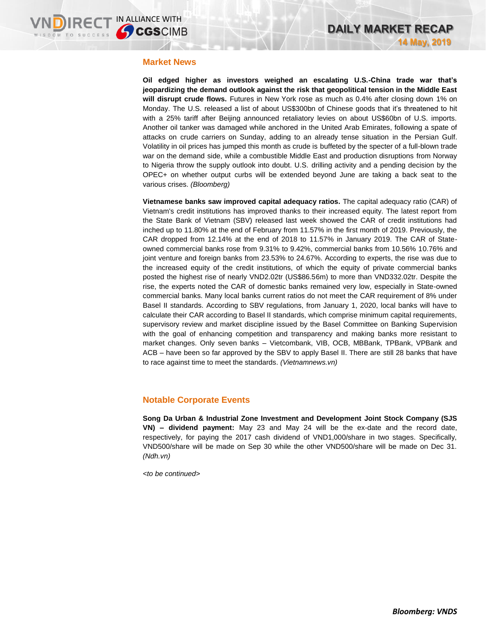### **Market News**

**Oil edged higher as investors weighed an escalating U.S.-China trade war that's jeopardizing the demand outlook against the risk that geopolitical tension in the Middle East will disrupt crude flows.** Futures in New York rose as much as 0.4% after closing down 1% on Monday. The U.S. released a list of about US\$300bn of Chinese goods that it's threatened to hit with a 25% tariff after Beijing announced retaliatory levies on about US\$60bn of U.S. imports. Another oil tanker was damaged while anchored in the United Arab Emirates, following a spate of attacks on crude carriers on Sunday, adding to an already tense situation in the Persian Gulf. Volatility in oil prices has jumped this month as crude is buffeted by the specter of a full-blown trade war on the demand side, while a combustible Middle East and production disruptions from Norway to Nigeria throw the supply outlook into doubt. U.S. drilling activity and a pending decision by the OPEC+ on whether output curbs will be extended beyond June are taking a back seat to the various crises. *(Bloomberg)*

**Vietnamese banks saw improved capital adequacy ratios.** The capital adequacy ratio (CAR) of Vietnam's credit institutions has improved thanks to their increased equity. The latest report from the State Bank of Vietnam (SBV) released last week showed the CAR of credit institutions had inched up to 11.80% at the end of February from 11.57% in the first month of 2019. Previously, the CAR dropped from 12.14% at the end of 2018 to 11.57% in January 2019. The CAR of Stateowned commercial banks rose from 9.31% to 9.42%, commercial banks from 10.56% 10.76% and joint venture and foreign banks from 23.53% to 24.67%. According to experts, the rise was due to the increased equity of the credit institutions, of which the equity of private commercial banks posted the highest rise of nearly VND2.02tr (US\$86.56m) to more than VND332.02tr. Despite the rise, the experts noted the CAR of domestic banks remained very low, especially in State-owned commercial banks. Many local banks current ratios do not meet the CAR requirement of 8% under Basel II standards. According to SBV regulations, from January 1, 2020, local banks will have to calculate their CAR according to Basel II standards, which comprise minimum capital requirements, supervisory review and market discipline issued by the Basel Committee on Banking Supervision with the goal of enhancing competition and transparency and making banks more resistant to market changes. Only seven banks – Vietcombank, VIB, OCB, MBBank, TPBank, VPBank and ACB – have been so far approved by the SBV to apply Basel II. There are still 28 banks that have to race against time to meet the standards. *(Vietnamnews.vn)*

### **Notable Corporate Events**

**Song Da Urban & Industrial Zone Investment and Development Joint Stock Company (SJS VN) – dividend payment:** May 23 and May 24 will be the ex-date and the record date, respectively, for paying the 2017 cash dividend of VND1,000/share in two stages. Specifically, VND500/share will be made on Sep 30 while the other VND500/share will be made on Dec 31. *(Ndh.vn)*

*<to be continued>*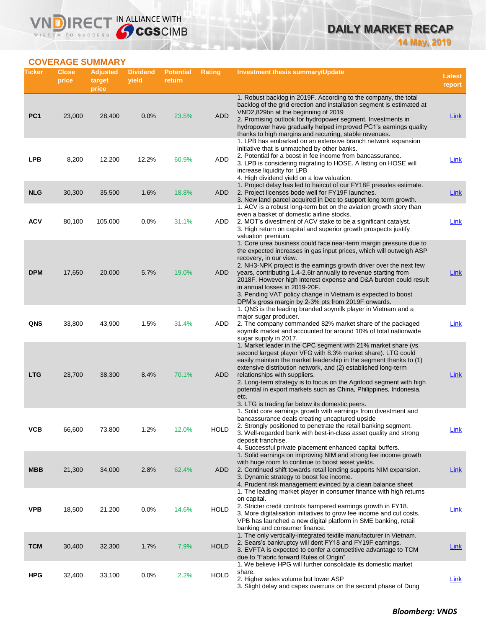# **COVERAGE SUMMARY**

WISDOM TO SUCCESS

VND

**IRECT IN ALLIANCE WITH** 

| Ticker          | <b>Close</b><br>price | <b>Adjusted</b><br>target<br>price | <b>Dividend</b><br>yield | <b>Potential</b><br>return | Rating      | Investment thesis summary/Update                                                                                                                                                                                                                                                                                                                                                                                                                                                                                                       | Latest<br>report |
|-----------------|-----------------------|------------------------------------|--------------------------|----------------------------|-------------|----------------------------------------------------------------------------------------------------------------------------------------------------------------------------------------------------------------------------------------------------------------------------------------------------------------------------------------------------------------------------------------------------------------------------------------------------------------------------------------------------------------------------------------|------------------|
| PC <sub>1</sub> | 23,000                | 28,400                             | 0.0%                     | 23.5%                      | <b>ADD</b>  | 1. Robust backlog in 2019F. According to the company, the total<br>backlog of the grid erection and installation segment is estimated at<br>VND2,829bn at the beginning of 2019<br>2. Promising outlook for hydropower segment. Investments in<br>hydropower have gradually helped improved PC1's earnings quality<br>thanks to high margins and recurring, stable revenues.                                                                                                                                                           | <b>Link</b>      |
| <b>LPB</b>      | 8,200                 | 12,200                             | 12.2%                    | 60.9%                      | ADD         | 1. LPB has embarked on an extensive branch network expansion<br>initiative that is unmatched by other banks.<br>2. Potential for a boost in fee income from bancassurance.<br>3. LPB is considering migrating to HOSE. A listing on HOSE will<br>increase liquidity for LPB<br>4. High dividend yield on a low valuation.                                                                                                                                                                                                              | Link             |
| <b>NLG</b>      | 30,300                | 35,500                             | 1.6%                     | 18.8%                      | <b>ADD</b>  | 1. Project delay has led to haircut of our FY18F presales estimate.<br>2. Project licenses bode well for FY19F launches.<br>3. New land parcel acquired in Dec to support long term growth.                                                                                                                                                                                                                                                                                                                                            | Link             |
| ACV             | 80,100                | 105,000                            | $0.0\%$                  | 31.1%                      | ADD         | 1. ACV is a robust long-term bet on the aviation growth story than<br>even a basket of domestic airline stocks.<br>2. MOT's divestment of ACV stake to be a significant catalyst.<br>3. High return on capital and superior growth prospects justify<br>valuation premium.                                                                                                                                                                                                                                                             | Link             |
| <b>DPM</b>      | 17,650                | 20,000                             | 5.7%                     | 19.0%                      | ADD         | 1. Core urea business could face near-term margin pressure due to<br>the expected increases in gas input prices, which will outweigh ASP<br>recovery, in our view.<br>2. NH3-NPK project is the earnings growth driver over the next few<br>years, contributing 1.4-2.6tr annually to revenue starting from<br>2018F. However high interest expense and D&A burden could result<br>in annual losses in 2019-20F.<br>3. Pending VAT policy change in Vietnam is expected to boost<br>DPM's gross margin by 2-3% pts from 2019F onwards. | <b>Link</b>      |
| QNS             | 33,800                | 43,900                             | 1.5%                     | 31.4%                      | ADD         | 1. QNS is the leading branded soymilk player in Vietnam and a<br>major sugar producer.<br>2. The company commanded 82% market share of the packaged<br>soymilk market and accounted for around 10% of total nationwide<br>sugar supply in 2017.                                                                                                                                                                                                                                                                                        | <b>Link</b>      |
| <b>LTG</b>      | 23,700                | 38,300                             | 8.4%                     | 70.1%                      | <b>ADD</b>  | 1. Market leader in the CPC segment with 21% market share (vs.<br>second largest player VFG with 8.3% market share). LTG could<br>easily maintain the market leadership in the segment thanks to (1)<br>extensive distribution network, and (2) established long-term<br>relationships with suppliers.<br>2. Long-term strategy is to focus on the Agrifood segment with high<br>potential in export markets such as China, Philippines, Indonesia,<br>etc.<br>3. LTG is trading far below its domestic peers.                         | Link             |
| <b>VCB</b>      | 66,600                | 73,800                             | 1.2%                     | 12.0%                      | <b>HOLD</b> | 1. Solid core earnings growth with earnings from divestment and<br>bancassurance deals creating uncaptured upside<br>2. Strongly positioned to penetrate the retail banking segment.<br>3. Well-regarded bank with best-in-class asset quality and strong<br>deposit franchise.<br>4. Successful private placement enhanced capital buffers.                                                                                                                                                                                           | <b>Link</b>      |
| <b>MBB</b>      | 21,300                | 34,000                             | 2.8%                     | 62.4%                      | ADD         | 1. Solid earnings on improving NIM and strong fee income growth<br>with huge room to continue to boost asset yields.<br>2. Continued shift towards retail lending supports NIM expansion.<br>3. Dynamic strategy to boost fee income.<br>4. Prudent risk management evinced by a clean balance sheet                                                                                                                                                                                                                                   | <b>Link</b>      |
| <b>VPB</b>      | 18,500                | 21,200                             | $0.0\%$                  | 14.6%                      | <b>HOLD</b> | 1. The leading market player in consumer finance with high returns<br>on capital.<br>2. Stricter credit controls hampered earnings growth in FY18.<br>3. More digitalisation initiatives to grow fee income and cut costs.<br>VPB has launched a new digital platform in SME banking, retail<br>banking and consumer finance.                                                                                                                                                                                                          | Link             |
| <b>TCM</b>      | 30,400                | 32,300                             | 1.7%                     | 7.9%                       | <b>HOLD</b> | 1. The only vertically-integrated textile manufacturer in Vietnam.<br>2. Sears's bankruptcy will dent FY18 and FY19F earnings.<br>3. EVFTA is expected to confer a competitive advantage to TCM<br>due to "Fabric forward Rules of Origin"                                                                                                                                                                                                                                                                                             | <b>Link</b>      |
| <b>HPG</b>      | 32,400                | 33,100                             | 0.0%                     | 2.2%                       | <b>HOLD</b> | 1. We believe HPG will further consolidate its domestic market<br>share.<br>2. Higher sales volume but lower ASP<br>3. Slight delay and capex overruns on the second phase of Dung                                                                                                                                                                                                                                                                                                                                                     | <b>Link</b>      |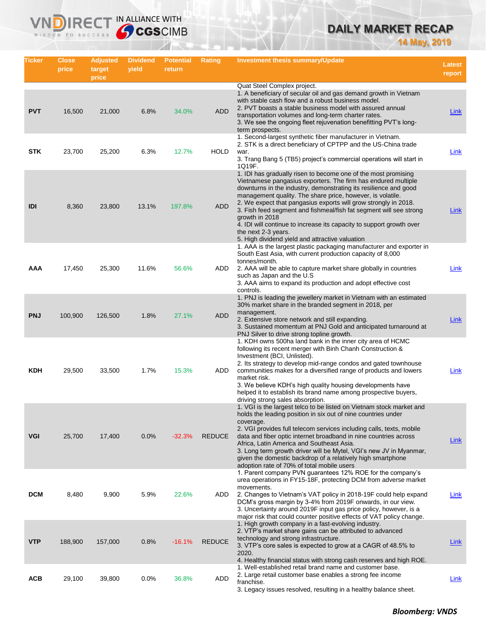# **DAILY MARKET RECAP 14 May, 2019**

| Ticker     | <b>Close</b><br>price | Adjusted<br>target<br>price | <b>Dividend</b><br>yield | <b>Potential</b><br>return | Rating        | <b>Investment thesis summary/Update</b>                                                                                                                                                                                                                                                                                                                                                                                                                                                                                                                                        | <b>Latest</b><br>report |
|------------|-----------------------|-----------------------------|--------------------------|----------------------------|---------------|--------------------------------------------------------------------------------------------------------------------------------------------------------------------------------------------------------------------------------------------------------------------------------------------------------------------------------------------------------------------------------------------------------------------------------------------------------------------------------------------------------------------------------------------------------------------------------|-------------------------|
| <b>PVT</b> | 16,500                | 21,000                      | 6.8%                     | 34.0%                      | <b>ADD</b>    | Quat Steel Complex project.<br>1. A beneficiary of secular oil and gas demand growth in Vietnam<br>with stable cash flow and a robust business model.<br>2. PVT boasts a stable business model with assured annual<br>transportation volumes and long-term charter rates.<br>3. We see the ongoing fleet rejuvenation benefitting PVT's long-<br>term prospects.                                                                                                                                                                                                               | Link                    |
| <b>STK</b> | 23,700                | 25,200                      | 6.3%                     | 12.7%                      | <b>HOLD</b>   | 1. Second-largest synthetic fiber manufacturer in Vietnam.<br>2. STK is a direct beneficiary of CPTPP and the US-China trade<br>war.<br>3. Trang Bang 5 (TB5) project's commercial operations will start in<br>1Q19F.                                                                                                                                                                                                                                                                                                                                                          | Link                    |
| IDI        | 8,360                 | 23,800                      | 13.1%                    | 197.8%                     | <b>ADD</b>    | 1. IDI has gradually risen to become one of the most promising<br>Vietnamese pangasius exporters. The firm has endured multiple<br>downturns in the industry, demonstrating its resilience and good<br>management quality. The share price, however, is volatile.<br>2. We expect that pangasius exports will grow strongly in 2018.<br>3. Fish feed segment and fishmeal/fish fat segment will see strong<br>growth in 2018<br>4. IDI will continue to increase its capacity to support growth over<br>the next 2-3 years.<br>5. High dividend yield and attractive valuation | Link                    |
| AAA        | 17,450                | 25,300                      | 11.6%                    | 56.6%                      | ADD           | 1. AAA is the largest plastic packaging manufacturer and exporter in<br>South East Asia, with current production capacity of 8,000<br>tonnes/month.<br>2. AAA will be able to capture market share globally in countries<br>such as Japan and the U.S.<br>3. AAA aims to expand its production and adopt effective cost<br>controls.                                                                                                                                                                                                                                           | Link                    |
| <b>PNJ</b> | 100,900               | 126,500                     | 1.8%                     | 27.1%                      | <b>ADD</b>    | 1. PNJ is leading the jewellery market in Vietnam with an estimated<br>30% market share in the branded segment in 2018, per<br>management.<br>2. Extensive store network and still expanding.<br>3. Sustained momentum at PNJ Gold and anticipated turnaround at<br>PNJ Silver to drive strong topline growth.                                                                                                                                                                                                                                                                 | Link                    |
| <b>KDH</b> | 29,500                | 33,500                      | 1.7%                     | 15.3%                      | ADD           | 1. KDH owns 500ha land bank in the inner city area of HCMC<br>following its recent merger with Binh Chanh Construction &<br>Investment (BCI, Unlisted).<br>2. Its strategy to develop mid-range condos and gated townhouse<br>communities makes for a diversified range of products and lowers<br>market risk.<br>3. We believe KDH's high quality housing developments have<br>helped it to establish its brand name among prospective buyers,                                                                                                                                | Link                    |
| <b>VGI</b> | 25,700                | 17,400                      | 0.0%                     | $-32.3%$                   | <b>REDUCE</b> | driving strong sales absorption.<br>1. VGI is the largest telco to be listed on Vietnam stock market and<br>holds the leading position in six out of nine countries under<br>coverage.<br>2. VGI provides full telecom services including calls, texts, mobile<br>data and fiber optic internet broadband in nine countries across<br>Africa, Latin America and Southeast Asia.<br>3. Long term growth driver will be Mytel, VGI's new JV in Myanmar,<br>given the domestic backdrop of a relatively high smartphone<br>adoption rate of 70% of total mobile users             | <b>Link</b>             |
| <b>DCM</b> | 8,480                 | 9,900                       | 5.9%                     | 22.6%                      | ADD           | 1. Parent company PVN guarantees 12% ROE for the company's<br>urea operations in FY15-18F, protecting DCM from adverse market<br>movements.<br>2. Changes to Vietnam's VAT policy in 2018-19F could help expand<br>DCM's gross margin by 3-4% from 2019F onwards, in our view.<br>3. Uncertainty around 2019F input gas price policy, however, is a<br>major risk that could counter positive effects of VAT policy change.                                                                                                                                                    | <b>Link</b>             |
| <b>VTP</b> | 188,900               | 157,000                     | 0.8%                     | $-16.1%$                   | <b>REDUCE</b> | 1. High growth company in a fast-evolving industry.<br>2. VTP's market share gains can be attributed to advanced<br>technology and strong infrastructure.<br>3. VTP's core sales is expected to grow at a CAGR of 48.5% to<br>2020.<br>4. Healthy financial status with strong cash reserves and high ROE.                                                                                                                                                                                                                                                                     | Link                    |
| <b>ACB</b> | 29,100                | 39,800                      | 0.0%                     | 36.8%                      | ADD           | 1. Well-established retail brand name and customer base.<br>2. Large retail customer base enables a strong fee income<br>franchise.<br>3. Legacy issues resolved, resulting in a healthy balance sheet.                                                                                                                                                                                                                                                                                                                                                                        | Link                    |

**VNDIRECT IN ALLIANCE WITH**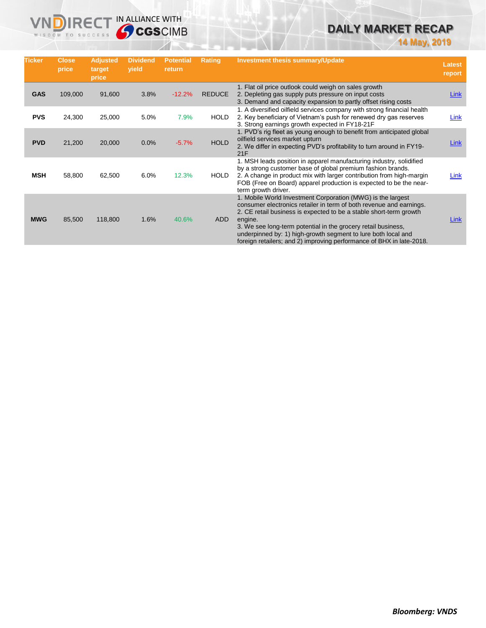# **DAILY MARKET RECAP**

| 1 | 4 | I | <b>Aa</b><br>٦à | I | 2 <sub>0</sub> | 019 |
|---|---|---|-----------------|---|----------------|-----|
|   |   |   |                 | ١ |                |     |

| <b>Ticker</b> | <b>Close</b><br>price | <b>Adjusted</b><br>target<br>price | <b>Dividend</b><br>yield | <b>Potential</b><br>return | <b>Rating</b> | <b>Investment thesis summary/Update</b>                                                                                                                                                                                                                                                                                                                                                                                       | <b>Latest</b><br>report |
|---------------|-----------------------|------------------------------------|--------------------------|----------------------------|---------------|-------------------------------------------------------------------------------------------------------------------------------------------------------------------------------------------------------------------------------------------------------------------------------------------------------------------------------------------------------------------------------------------------------------------------------|-------------------------|
| <b>GAS</b>    | 109,000               | 91,600                             | 3.8%                     | $-12.2%$                   | <b>REDUCE</b> | 1. Flat oil price outlook could weigh on sales growth<br>2. Depleting gas supply puts pressure on input costs<br>3. Demand and capacity expansion to partly offset rising costs                                                                                                                                                                                                                                               | <b>Link</b>             |
| <b>PVS</b>    | 24,300                | 25,000                             | 5.0%                     | 7.9%                       | <b>HOLD</b>   | 1. A diversified oilfield services company with strong financial health<br>2. Key beneficiary of Vietnam's push for renewed dry gas reserves<br>3. Strong earnings growth expected in FY18-21F                                                                                                                                                                                                                                | Link                    |
| <b>PVD</b>    | 21,200                | 20,000                             | 0.0%                     | $-5.7%$                    | <b>HOLD</b>   | 1. PVD's rig fleet as young enough to benefit from anticipated global<br>oilfield services market upturn<br>2. We differ in expecting PVD's profitability to turn around in FY19-<br>21F                                                                                                                                                                                                                                      | <b>Link</b>             |
| MSH           | 58,800                | 62,500                             | 6.0%                     | 12.3%                      | <b>HOLD</b>   | 1. MSH leads position in apparel manufacturing industry, solidified<br>by a strong customer base of global premium fashion brands.<br>2. A change in product mix with larger contribution from high-margin<br>FOB (Free on Board) apparel production is expected to be the near-<br>term growth driver.                                                                                                                       | Link                    |
| <b>MWG</b>    | 85,500                | 118,800                            | 1.6%                     | 40.6%                      | <b>ADD</b>    | 1. Mobile World Investment Corporation (MWG) is the largest<br>consumer electronics retailer in term of both revenue and earnings.<br>2. CE retail business is expected to be a stable short-term growth<br>engine.<br>3. We see long-term potential in the grocery retail business,<br>underpinned by: 1) high-growth segment to lure both local and<br>foreign retailers; and 2) improving performance of BHX in late-2018. | <b>Link</b>             |

**VNDIRECT IN ALLIANCE WITH**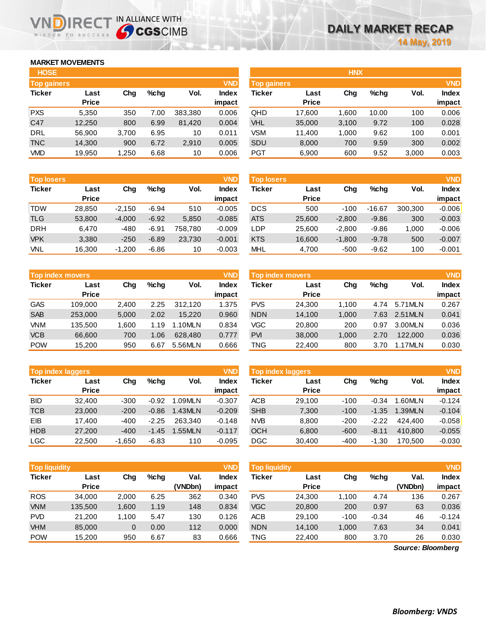## **MARKET MOVEMENTS**

WISDOM TO SUCCESS

ח

| <b>HOSE</b>        |              |       |      |         |              |
|--------------------|--------------|-------|------|---------|--------------|
| <b>Top gainers</b> |              |       |      |         | <b>VND</b>   |
| <b>Ticker</b>      | Last         | Cha   | %chq | Vol.    | <b>Index</b> |
|                    | <b>Price</b> |       |      |         | impact       |
| <b>PXS</b>         | 5,350        | 350   | 7.00 | 383,380 | 0.006        |
| C47                | 12,250       | 800   | 6.99 | 81,420  | 0.004        |
| DRL                | 56,900       | 3,700 | 6.95 | 10      | 0.011        |
| <b>TNC</b>         | 14,300       | 900   | 6.72 | 2,910   | 0.005        |
| <b>VMD</b>         | 19.950       | 1.250 | 6.68 | 10      | 0.006        |

IRECT IN ALLIANCE WITH

| <b>Top losers</b> |              |          |         |         | <b>VND</b>   |
|-------------------|--------------|----------|---------|---------|--------------|
| <b>Ticker</b>     | Last         | Cha      | %chq    | Vol.    | <b>Index</b> |
|                   | <b>Price</b> |          |         |         | impact       |
| <b>TDW</b>        | 28,850       | $-2,150$ | $-6.94$ | 510     | $-0.005$     |
| <b>TLG</b>        | 53,800       | $-4,000$ | $-6.92$ | 5,850   | $-0.085$     |
| <b>DRH</b>        | 6,470        | -480     | $-6.91$ | 758.780 | $-0.009$     |
| <b>VPK</b>        | 3,380        | $-250$   | $-6.89$ | 23,730  | $-0.001$     |
| <b>VNL</b>        | 16,300       | $-1,200$ | $-6.86$ | 10      | $-0.003$     |

| <b>VND</b><br><b>Top index movers</b> |              |       |      |         |        |  |  |
|---------------------------------------|--------------|-------|------|---------|--------|--|--|
| <b>Ticker</b>                         | Last         | Cha   | %chq | Vol.    | Index  |  |  |
|                                       | <b>Price</b> |       |      |         | impact |  |  |
| <b>GAS</b>                            | 109,000      | 2,400 | 2.25 | 312,120 | 1.375  |  |  |
| <b>SAB</b>                            | 253,000      | 5,000 | 2.02 | 15,220  | 0.960  |  |  |
| VNM                                   | 135,500      | 1,600 | 1.19 | 1.10MLN | 0.834  |  |  |
| <b>VCB</b>                            | 66,600       | 700   | 1.06 | 628.480 | 0.777  |  |  |
| <b>POW</b>                            | 15,200       | 950   | 6.67 | 5.56MLN | 0.666  |  |  |

| <b>VND</b><br><b>Top index laggers</b> |              |          |         |         |              |  |  |
|----------------------------------------|--------------|----------|---------|---------|--------------|--|--|
| <b>Ticker</b>                          | Last         | Cha      | %chq    | Vol.    | <b>Index</b> |  |  |
|                                        | <b>Price</b> |          |         |         | impact       |  |  |
| <b>BID</b>                             | 32,400       | $-300$   | $-0.92$ | 1.09MLN | $-0.307$     |  |  |
| <b>TCB</b>                             | 23,000       | $-200$   | $-0.86$ | 1.43MLN | $-0.209$     |  |  |
| EIB                                    | 17,400       | $-400$   | $-2.25$ | 263.340 | $-0.148$     |  |  |
| <b>HDB</b>                             | 27,200       | $-400$   | $-1.45$ | 1.55MLN | $-0.117$     |  |  |
| <b>LGC</b>                             | 22,500       | $-1,650$ | $-6.83$ | 110     | $-0.095$     |  |  |

|               | <b>VND</b><br><b>Top liquidity</b> |       |      |         |              |  |  |  |  |  |  |  |
|---------------|------------------------------------|-------|------|---------|--------------|--|--|--|--|--|--|--|
| <b>Ticker</b> | Last                               | Cha   | %chq | Val.    | <b>Index</b> |  |  |  |  |  |  |  |
|               | <b>Price</b>                       |       |      | (VNDbn) | impact       |  |  |  |  |  |  |  |
| <b>ROS</b>    | 34.000                             | 2,000 | 6.25 | 362     | 0.340        |  |  |  |  |  |  |  |
| <b>VNM</b>    | 135,500                            | 1,600 | 1.19 | 148     | 0.834        |  |  |  |  |  |  |  |
| <b>PVD</b>    | 21.200                             | 1,100 | 5.47 | 130     | 0.126        |  |  |  |  |  |  |  |
| <b>VHM</b>    | 85,000                             | 0     | 0.00 | 112     | 0.000        |  |  |  |  |  |  |  |
| <b>POW</b>    | 15.200                             | 950   | 6.67 | 83      | 0.666        |  |  |  |  |  |  |  |

| <b>HOSE</b>        |              |       |         |         |              |                    |              | <b>HNX</b> |       |       |            |
|--------------------|--------------|-------|---------|---------|--------------|--------------------|--------------|------------|-------|-------|------------|
| <b>Top gainers</b> |              |       |         |         | <b>VND</b>   | <b>Top gainers</b> |              |            |       |       | <b>VND</b> |
| Ticker             | Last         | Chg   | $%$ chq | Vol.    | <b>Index</b> | Ticker             | Last         | Chg        | %chg  | Vol.  | Index      |
|                    | <b>Price</b> |       |         |         | impact       |                    | <b>Price</b> |            |       |       | impact     |
| <b>PXS</b>         | 5,350        | 350   | 7.00    | 383,380 | 0.006        | QHD                | 17,600       | 1.600      | 10.00 | 100   | 0.006      |
| C47                | 12,250       | 800   | 6.99    | 81,420  | 0.004        | VHL                | 35,000       | 3,100      | 9.72  | 100   | 0.028      |
| <b>DRL</b>         | 56,900       | 3.700 | 6.95    | 10      | 0.011        | VSM                | 11,400       | 1.000      | 9.62  | 100   | 0.001      |
| <b>TNC</b>         | 14,300       | 900   | 6.72    | 2,910   | 0.005        | SDU                | 8,000        | 700        | 9.59  | 300   | 0.002      |
| <b>VMD</b>         | 19,950       | 1,250 | 6.68    | 10      | 0.006        | <b>PGT</b>         | 6,900        | 600        | 9.52  | 3,000 | 0.003      |
|                    |              |       |         |         |              |                    |              |            |       |       |            |

| <b>Top losers</b> |                      |          |         |         | <b>VND</b>             | <b>Top losers</b> |                      |          |          |         | <b>VND</b>             |
|-------------------|----------------------|----------|---------|---------|------------------------|-------------------|----------------------|----------|----------|---------|------------------------|
| <b>Ticker</b>     | Last<br><b>Price</b> | Chg      | $%$ chq | Vol.    | <b>Index</b><br>impact | Ticker            | Last<br><b>Price</b> | Chg      | $%$ chq  | Vol.    | <b>Index</b><br>impact |
| TDW               | 28.850               | $-2.150$ | $-6.94$ | 510     | $-0.005$               | <b>DCS</b>        | 500                  | $-100$   | $-16.67$ | 300,300 | $-0.006$               |
| TLG               | 53,800               | $-4,000$ | $-6.92$ | 5,850   | $-0.085$               | <b>ATS</b>        | 25,600               | $-2,800$ | $-9.86$  | 300     | $-0.003$               |
| DRH               | 6,470                | $-480$   | $-6.91$ | 758.780 | $-0.009$               | LDP               | 25,600               | $-2,800$ | $-9.86$  | 1,000   | $-0.006$               |
| <b>VPK</b>        | 3,380                | $-250$   | $-6.89$ | 23,730  | $-0.001$               | <b>KTS</b>        | 16,600               | $-1,800$ | $-9.78$  | 500     | $-0.007$               |
| VNL               | 16,300               | $-1,200$ | $-6.86$ | 10      | $-0.003$               | <b>MHL</b>        | 4,700                | $-500$   | $-9.62$  | 100     | $-0.001$               |
|                   |                      |          |         |         |                        |                   |                      |          |          |         |                        |

|            | Top index movers |       |      |         | <b>VND</b> | Top index movers |              |       |         |          | <b>VND</b>   |
|------------|------------------|-------|------|---------|------------|------------------|--------------|-------|---------|----------|--------------|
| Ticker     | Last             | Chg   | %chq | Vol.    | Index      | Ticker           | Last         | Chg   | $%$ chq | Vol.     | <b>Index</b> |
|            | <b>Price</b>     |       |      |         | impact     |                  | <b>Price</b> |       |         |          | impact       |
| GAS        | 109.000          | 2.400 | 2.25 | 312.120 | 1.375      | <b>PVS</b>       | 24.300       | 1.100 | 4.74    | 5.71 MLN | 0.267        |
| <b>SAB</b> | 253,000          | 5.000 | 2.02 | 15.220  | 0.960      | <b>NDN</b>       | 14,100       | 1,000 | 7.63    | 2.51MLN  | 0.041        |
| <b>VNM</b> | 135.500          | 1.600 | 1.19 | 1.10MLN | 0.834      | VGC              | 20,800       | 200   | 0.97    | 3.00MLN  | 0.036        |
| <b>VCB</b> | 66,600           | 700   | 1.06 | 628,480 | 0.777      | <b>PVI</b>       | 38,000       | 1,000 | 2.70    | 122,000  | 0.036        |
| <b>POW</b> | 15.200           | 950   | 6.67 | 5.56MLN | 0.666      | TNG              | 22,400       | 800   | 3.70    | 1.17MLN  | 0.030        |

|            | <b>VND</b><br><b>Top index laggers</b> |          |         |         |          |            | <b>Top index laggers</b> |        |         |         |              |  |
|------------|----------------------------------------|----------|---------|---------|----------|------------|--------------------------|--------|---------|---------|--------------|--|
| Ticker     | Last                                   | Chg      | %chq    | Vol.    | Index    | Ticker     | Last                     | Chg    | $%$ chq | Vol.    | <b>Index</b> |  |
|            | <b>Price</b>                           |          |         |         | impact   |            | <b>Price</b>             |        |         |         | impact       |  |
| BID        | 32.400                                 | $-300$   | $-0.92$ | 1.09MLN | $-0.307$ | <b>ACB</b> | 29.100                   | $-100$ | $-0.34$ | 1.60MLN | $-0.124$     |  |
| TCB        | 23,000                                 | $-200$   | $-0.86$ | 1.43MLN | $-0.209$ | <b>SHB</b> | 7,300                    | $-100$ | $-1.35$ | 1.39MLN | $-0.104$     |  |
| EIB        | 17.400                                 | $-400$   | $-2.25$ | 263.340 | $-0.148$ | <b>NVB</b> | 8.800                    | $-200$ | $-2.22$ | 424.400 | $-0.058$     |  |
| <b>HDB</b> | 27,200                                 | $-400$   | $-1.45$ | 1.55MLN | $-0.117$ | <b>OCH</b> | 6,800                    | $-600$ | $-8.11$ | 410.800 | $-0.055$     |  |
| LGC        | 22,500                                 | $-1,650$ | $-6.83$ | 110     | $-0.095$ | <b>DGC</b> | 30,400                   | $-400$ | $-1.30$ | 170.500 | $-0.030$     |  |

| <b>Top liquidity</b> |              |              |      |         | <b>VND</b> | <b>Top liquidity</b> |              |        |         |                   | <b>VND</b>   |
|----------------------|--------------|--------------|------|---------|------------|----------------------|--------------|--------|---------|-------------------|--------------|
| Ticker               | Last         | Chg          | %chq | Val.    | Index      | Ticker               | Last         | Chg    | $%$ chq | Val.              | <b>Index</b> |
|                      | <b>Price</b> |              |      | (VNDbn) | impact     |                      | <b>Price</b> |        |         | (VNDbn)           | impact       |
| <b>ROS</b>           | 34.000       | 2,000        | 6.25 | 362     | 0.340      | <b>PVS</b>           | 24,300       | 1.100  | 4.74    | 136               | 0.267        |
| <b>VNM</b>           | 135,500      | 1,600        | 1.19 | 148     | 0.834      | <b>VGC</b>           | 20,800       | 200    | 0.97    | 63                | 0.036        |
| <b>PVD</b>           | 21.200       | 1.100        | 5.47 | 130     | 0.126      | <b>ACB</b>           | 29.100       | $-100$ | $-0.34$ | 46                | $-0.124$     |
| <b>VHM</b>           | 85,000       | $\mathbf{0}$ | 0.00 | 112     | 0.000      | <b>NDN</b>           | 14.100       | 1,000  | 7.63    | 34                | 0.041        |
| <b>POW</b>           | 15,200       | 950          | 6.67 | 83      | 0.666      | TNG                  | 22,400       | 800    | 3.70    | 26                | 0.030        |
|                      |              |              |      |         |            |                      |              |        |         | Source: Bloomberg |              |

*Source: Bloomberg*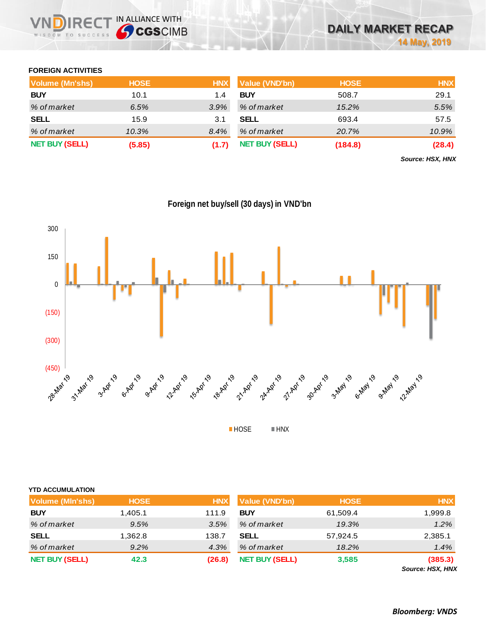# **FOREIGN ACTIVITIES**

WISDOM TO SUCCESS

**YTD ACCUMULATION**

**DIRECT IN ALLIANCE WITH** 

| Volume (Mn'shs)       | <b>HOSE</b> | <b>HNX</b> | <b>Value (VND'bn)</b> | <b>HOSE</b> | <b>HNX</b> |
|-----------------------|-------------|------------|-----------------------|-------------|------------|
| <b>BUY</b>            | 10.1        | 1.4        | <b>BUY</b>            | 508.7       | 29.1       |
| % of market           | 6.5%        | 3.9%       | % of market           | 15.2%       | 5.5%       |
| <b>SELL</b>           | 15.9        | 3.1        | <b>SELL</b>           | 693.4       | 57.5       |
| % of market           | 10.3%       | 8.4%       | % of market           | 20.7%       | 10.9%      |
| <b>NET BUY (SELL)</b> | (5.85)      | (1.7)      | <b>NET BUY (SELL)</b> | (184.8)     | (28.4)     |

*Source: HSX, HNX*



**Foreign net buy/sell (30 days) in VND'bn**

**HOSE HNX** 

| Y I D'ACCUMULATION      |             |            |                       |             |                             |
|-------------------------|-------------|------------|-----------------------|-------------|-----------------------------|
| <b>Volume (MIn'shs)</b> | <b>HOSE</b> | <b>HNX</b> | Value (VND'bn)        | <b>HOSE</b> | <b>HNX</b>                  |
| <b>BUY</b>              | 1,405.1     | 111.9      | <b>BUY</b>            | 61,509.4    | 1,999.8                     |
| % of market             | 9.5%        | 3.5%       | % of market           | 19.3%       | 1.2%                        |
| <b>SELL</b>             | 1,362.8     | 138.7      | <b>SELL</b>           | 57,924.5    | 2,385.1                     |
| % of market             | 9.2%        | 4.3%       | % of market           | 18.2%       | 1.4%                        |
| <b>NET BUY (SELL)</b>   | 42.3        | (26.8)     | <b>NET BUY (SELL)</b> | 3,585       | (385.3)<br>Source: HSX, HNX |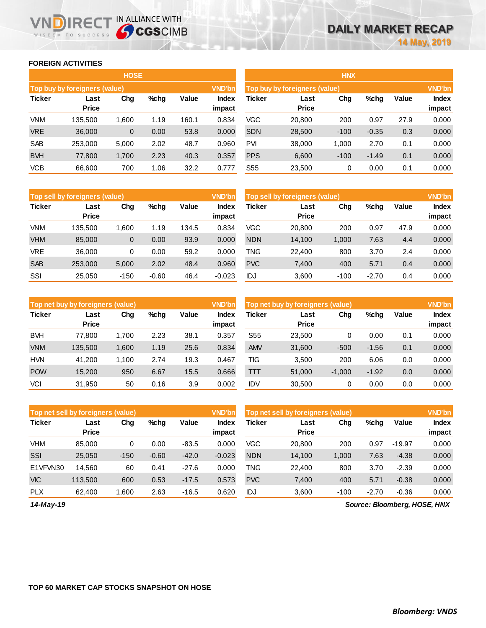## **FOREIGN ACTIVITIES**

**VNDIRECT IN ALLIANCE WITH** 

|               |                               | <b>HOSE</b> |         |       |                        |                 |                               | <b>HNX</b> |         |       |                        |  |
|---------------|-------------------------------|-------------|---------|-------|------------------------|-----------------|-------------------------------|------------|---------|-------|------------------------|--|
|               | Top buy by foreigners (value) |             |         |       | <b>VND'bn</b>          |                 | Top buy by foreigners (value) |            |         |       |                        |  |
| <b>Ticker</b> | Last<br><b>Price</b>          | Chg         | $%$ chg | Value | <b>Index</b><br>impact | Ticker          | Last<br><b>Price</b>          | Chg        | %chg    | Value | <b>Index</b><br>impact |  |
| <b>VNM</b>    | 135,500                       | 1,600       | 1.19    | 160.1 | 0.834                  | <b>VGC</b>      | 20,800                        | 200        | 0.97    | 27.9  | 0.000                  |  |
| <b>VRE</b>    | 36,000                        | 0           | 0.00    | 53.8  | 0.000                  | <b>SDN</b>      | 28,500                        | $-100$     | $-0.35$ | 0.3   | 0.000                  |  |
| <b>SAB</b>    | 253,000                       | 5,000       | 2.02    | 48.7  | 0.960                  | <b>PVI</b>      | 38,000                        | 1.000      | 2.70    | 0.1   | 0.000                  |  |
| <b>BVH</b>    | 77,800                        | 1,700       | 2.23    | 40.3  | 0.357                  | <b>PPS</b>      | 6,600                         | $-100$     | $-1.49$ | 0.1   | 0.000                  |  |
| <b>VCB</b>    | 66,600                        | 700         | 1.06    | 32.2  | 0.777                  | S <sub>55</sub> | 23,500                        | 0          | 0.00    | 0.1   | 0.000                  |  |

|               | <b>VND'bn</b><br>Top sell by foreigners (value) |        |         |       |                 |            | Top sell by foreigners (value) |        |         |       |                 |
|---------------|-------------------------------------------------|--------|---------|-------|-----------------|------------|--------------------------------|--------|---------|-------|-----------------|
| <b>Ticker</b> | Last<br><b>Price</b>                            | Chg    | $%$ chg | Value | Index<br>impact | Ticker     | Last<br><b>Price</b>           | Chg    | %chg    | Value | Index<br>impact |
| VNM           | 135.500                                         | .600   | 1.19    | 134.5 | 0.834           | <b>VGC</b> | 20,800                         | 200    | 0.97    | 47.9  | 0.000           |
| <b>VHM</b>    | 85,000                                          | 0      | 0.00    | 93.9  | 0.000           | <b>NDN</b> | 14,100                         | 1,000  | 7.63    | 4.4   | 0.000           |
| <b>VRE</b>    | 36,000                                          | 0      | 0.00    | 59.2  | 0.000           | TNG        | 22,400                         | 800    | 3.70    | 2.4   | 0.000           |
| <b>SAB</b>    | 253,000                                         | 5,000  | 2.02    | 48.4  | 0.960           | <b>PVC</b> | 7.400                          | 400    | 5.71    | 0.4   | 0.000           |
| SSI           | 25,050                                          | $-150$ | $-0.60$ | 46.4  | $-0.023$        | IDJ        | 3,600                          | $-100$ | $-2.70$ | 0.4   | 0.000           |

|               | Top net buy by foreigners (value) |       |         |       | <b>VND'bn</b>          | Top net buy by foreigners (value) |                      |          |         |       | <b>VND'bn</b>          |  |
|---------------|-----------------------------------|-------|---------|-------|------------------------|-----------------------------------|----------------------|----------|---------|-------|------------------------|--|
| <b>Ticker</b> | Last<br><b>Price</b>              | Chg   | $%$ chg | Value | <b>Index</b><br>impact | Ticker                            | Last<br><b>Price</b> | Chg      | %chg    | Value | <b>Index</b><br>impact |  |
| <b>BVH</b>    | 77.800                            | 1,700 | 2.23    | 38.1  | 0.357                  | S <sub>55</sub>                   | 23.500               | 0        | 0.00    | 0.1   | 0.000                  |  |
| <b>VNM</b>    | 135,500                           | 1,600 | 1.19    | 25.6  | 0.834                  | <b>AMV</b>                        | 31,600               | $-500$   | $-1.56$ | 0.1   | 0.000                  |  |
| <b>HVN</b>    | 41.200                            | 1.100 | 2.74    | 19.3  | 0.467                  | TIG                               | 3,500                | 200      | 6.06    | 0.0   | 0.000                  |  |
| <b>POW</b>    | 15,200                            | 950   | 6.67    | 15.5  | 0.666                  | TП                                | 51,000               | $-1,000$ | $-1.92$ | 0.0   | 0.000                  |  |
| <b>VCI</b>    | 31,950                            | 50    | 0.16    | 3.9   | 0.002                  | <b>IDV</b>                        | 30,500               | 0        | 0.00    | 0.0   | 0.000                  |  |

|               | <b>VND'bn</b><br>Top net sell by foreigners (value) |        |         |         |                 |            | Top net sell by foreigners (value) |        |         |          |                 |
|---------------|-----------------------------------------------------|--------|---------|---------|-----------------|------------|------------------------------------|--------|---------|----------|-----------------|
| <b>Ticker</b> | Last<br><b>Price</b>                                | Chg    | $%$ chg | Value   | Index<br>impact | Ticker     | Last<br><b>Price</b>               | Chg    | %chg    | Value    | Index<br>impact |
| VHM           | 85,000                                              | 0      | 0.00    | $-83.5$ | 0.000           | VGC        | 20.800                             | 200    | 0.97    | $-19.97$ | 0.000           |
| SSI           | 25,050                                              | $-150$ | $-0.60$ | $-42.0$ | $-0.023$        | <b>NDN</b> | 14.100                             | 1,000  | 7.63    | $-4.38$  | 0.000           |
| E1VFVN30      | 14.560                                              | 60     | 0.41    | $-27.6$ | 0.000           | TNG        | 22,400                             | 800    | 3.70    | $-2.39$  | 0.000           |
| <b>VIC</b>    | 113,500                                             | 600    | 0.53    | $-17.5$ | 0.573           | <b>PVC</b> | 7.400                              | 400    | 5.71    | $-0.38$  | 0.000           |
| <b>PLX</b>    | 62,400                                              | .600   | 2.63    | $-16.5$ | 0.620           | IDJ        | 3,600                              | $-100$ | $-2.70$ | $-0.36$  | 0.000           |

*14-May-19*

*Source: Bloomberg, HOSE, HNX*

 $\mathcal{L}_{\mathcal{L}}$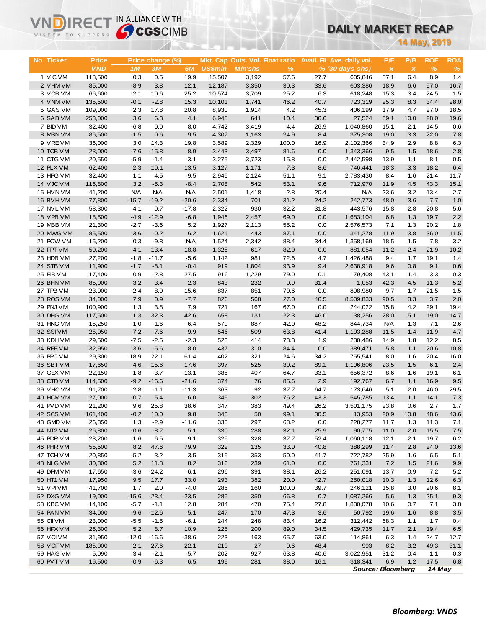# **DAILY MARKET RECAP**

|                        | <b>Sy CGS</b> CIMB<br>WISDOM TO SUCCESS |                  |                  |                |                |                                 |              | DAILY MARKET RECAP |                             |              |                           |              |                |  |
|------------------------|-----------------------------------------|------------------|------------------|----------------|----------------|---------------------------------|--------------|--------------------|-----------------------------|--------------|---------------------------|--------------|----------------|--|
|                        |                                         |                  |                  |                |                |                                 |              |                    | 14 May, 2019                |              |                           |              |                |  |
|                        |                                         |                  |                  |                |                |                                 |              |                    |                             |              |                           |              |                |  |
| <b>No. Ticker</b>      | <b>Price</b>                            |                  | Price change (%) |                |                | Mkt. Cap Outs. Vol. Float ratio |              |                    | Avail. Fil Ave. daily vol.  | P/E          | P/B                       | <b>ROE</b>   | <b>ROA</b>     |  |
|                        | <b>VND</b>                              | 1M               | 3M               | 6M             | <b>US\$mln</b> | <b>MIn'shs</b>                  | $\%$         |                    | $% (30 \, \text{days-shs})$ | $\pmb{\chi}$ | $\boldsymbol{\mathsf{x}}$ | $\%$         | $\%$           |  |
| 1 VIC VM               | 113,500                                 | 0.3              | 0.5              | 19.9           | 15,507         | 3,192                           | 57.6         | 27.7               | 605,846                     | 87.1         | 6.4                       | 8.9          | 1.4            |  |
| 2 VHM VM               | 85,000                                  | $-8.9$           | 3.8              | 12.1           | 12,187         | 3,350                           | 30.3         | 33.6               | 603,386                     | 18.9         | 6.6                       | 57.0         | 16.7           |  |
| 3 VCB VM               | 66,600                                  | $-2.1$           | 10.6             | 25.2           | 10,574         | 3,709                           | 25.2         | 6.3                | 618,248                     | 15.3         | 3.4                       | 24.5         | 1.5            |  |
| 4 VNM VM               | 135,500                                 | $-0.1$           | $-2.8$           | 15.3           | 10,101         | 1,741                           | 46.2         | 40.7               | 723,319                     | 25.3         | 8.3                       | 34.4         | 28.0           |  |
| 5 GAS VM               | 109,000                                 | 2.3              | 17.8             | 20.8           | 8,930          | 1,914                           | 4.2          | 45.3               | 406,199                     | 17.9         | 4.7                       | 27.0         | 18.5           |  |
| 6 SAB VM<br>7 BID VM   | 253,000                                 | 3.6              | 6.3              | 4.1            | 6,945          | 641                             | 10.4         | 36.6               | 27,524<br>1,040,860         | 39.1         | 10.0                      | 28.0         | 19.6           |  |
| 8 MSN VM               | 32,400<br>86,500                        | $-6.8$<br>$-1.5$ | 0.0<br>0.6       | 8.0<br>9.5     | 4,742<br>4,307 | 3,419<br>1,163                  | 4.4<br>24.9  | 26.9<br>8.4        | 375,308                     | 15.1<br>19.0 | 2.1<br>3.3                | 14.5<br>22.0 | 0.6<br>7.8     |  |
| 9 VRE VM               | 36,000                                  | 3.0              | 14.3             | 19.8           | 3,589          | 2,329                           | 100.0        | 16.9               | 2,102,366                   | 34.9         | 2.9                       | 8.8          | 6.3            |  |
| 10 TCB VM              | 23,000                                  | $-7.6$           | $-15.8$          | $-8.9$         | 3,443          | 3,497                           | 81.6         | 0.0                | 1,343,366                   | 9.5          | 1.5                       | 18.6         | 2.8            |  |
| 11 CTG VM              | 20,550                                  | $-5.9$           | $-1.4$           | $-3.1$         | 3,275          | 3,723                           | 15.8         | 0.0                | 2,442,598                   | 13.9         | 1.1                       | 8.1          | 0.5            |  |
| 12 PLX VM              | 62,400                                  | 2.3              | 10.1             | 13.5           | 3,127          | 1,171                           | 7.3          | 8.6                | 746,441                     | 18.3         | 3.3                       | 18.2         | 6.4            |  |
| 13 HPG VM              | 32,400                                  | 1.1              | 4.5              | $-9.5$         | 2,946          | 2,124                           | 51.1         | 9.1                | 2,783,430                   | 8.4          | 1.6                       | 21.4         | 11.7           |  |
| 14 VJC VM              | 116,800                                 | 3.2              | $-5.3$           | $-8.4$         | 2,708          | 542                             | 53.1         | 9.6                | 712,970                     | 11.9         | 4.5                       | 43.3         | 15.1           |  |
| 15 HVN VM              | 41,200                                  | <b>N/A</b>       | <b>N/A</b>       | <b>N/A</b>     | 2,501          | 1,418                           | 2.8          | 20.4               | <b>N/A</b>                  | 23.6         | 3.2                       | 13.4         | 2.7            |  |
| 16 BVHVM               | 77,800                                  | $-15.7$          | $-19.2$          | $-20.6$        | 2,334          | 701                             | 31.2         | 24.2               | 242,773                     | 48.0         | 3.6                       | 7.7          | 1.0            |  |
| 17 NVL VM              | 58,300                                  | 4.1              | 0.7              | $-17.8$        | 2,322          | 930                             | 32.2         | 31.8               | 443,576                     | 15.8         | 2.8                       | 20.8         | 5.6            |  |
| 18 VPB VM              | 18,500                                  | $-4.9$           | $-12.9$          | $-6.8$         | 1,946          | 2,457                           | 69.0         | 0.0                | 1,683,104                   | 6.8          | 1.3                       | 19.7         | 2.2            |  |
| 19 MBB VM              | 21,300                                  | $-2.7$           | $-3.6$           | 5.2            | 1,927          | 2,113                           | 55.2         | 0.0                | 2,576,573                   | 7.1          | 1.3                       | 20.2         | 1.8            |  |
| 20 MWG VM              | 85,500                                  | 3.6              | $-0.2$           | 6.2            | 1,621          | 443                             | 87.1         | 0.0                | 341,278                     | 11.9         | 3.8                       | 36.0         | 11.5           |  |
| 21 POW VM              | 15,200                                  | 0.3              | $-9.8$           | <b>N/A</b>     | 1,524          | 2,342                           | 88.4         | 34.4               | 1,358,169                   | 18.5         | 1.5                       | 7.8          | 3.2            |  |
| 22 FPT VM              | 50,200                                  | 4.1              | 13.4             | 18.8           | 1,325          | 617                             | 82.0         | 0.0                | 881,054                     | 11.2         | 2.4                       | 21.9         | 10.2           |  |
| 23 HDB VM              | 27,200                                  | $-1.8$           | $-11.7$          | $-5.6$         | 1,142          | 981                             | 72.6         | 4.7                | 1,426,488                   | 9.4          | 1.7                       | 19.1         | 1.4            |  |
| 24 STB VM              | 11,900                                  | $-1.7$           | $-8.1$           | $-0.4$         | 919            | 1,804                           | 93.9         | 9.4                | 2,638,918                   | 9.6          | 0.8                       | 9.1          | 0.6            |  |
| 25 EIB VM              | 17,400                                  | 0.9              | $-2.8$           | 27.5           | 916            | 1,229                           | 79.0         | 0.1                | 179,408                     | 43.1         | 1.4                       | 3.3          | 0.3            |  |
| 26 BHN VM              | 85,000                                  | 3.2              | 3.4              | 2.3            | 843<br>837     | 232                             | 0.9          | 31.4               | 1,053                       | 42.3         | 4.5                       | 11.3         | 5.2            |  |
| 27 TPB VM<br>28 ROS VM | 23,000<br>34,000                        | 2.4<br>7.9       | 8.0<br>0.9       | 15.6<br>$-7.7$ | 826            | 851<br>568                      | 70.6<br>27.0 | 0.0<br>46.5        | 898,980<br>8,509,833        | 9.7<br>90.5  | 1.7<br>3.3                | 21.5<br>3.7  | 1.5<br>$2.0\,$ |  |
| 29 PNJ VM              | 100,900                                 | 1.3              | 3.8              | 7.9            | 721            | 167                             | 67.0         | 0.0                | 244,022                     | 15.8         | 4.2                       | 29.1         | 19.4           |  |
| 30 DHG VM              | 117,500                                 | 1.3              | 32.3             | 42.6           | 658            | 131                             | 22.3         | 46.0               | 38,256                      | 28.0         | 5.1                       | 19.0         | 14.7           |  |
| 31 HNG VM              | 15,250                                  | 1.0              | $-1.6$           | $-6.4$         | 579            | 887                             | 42.0         | 48.2               | 844,734                     | <b>N/A</b>   | 1.3                       | $-7.1$       | $-2.6$         |  |
| 32 SSIVM               | 25,050                                  | $-7.2$           | $-7.6$           | $-9.9$         | 546            | 509                             | 63.8         | 41.4               | 1,193,288                   | 11.5         | 1.4                       | 11.9         | 4.7            |  |
| 33 KDH VM              | 29,500                                  | $-7.5$           | $-2.5$           | $-2.3$         | 523            | 414                             | 73.3         | 1.9                | 230,486                     | 14.9         | 1.8                       | 12.2         | 8.5            |  |
| 34 REE VM              | 32,950                                  | 3.6              | $-5.6$           | 8.0            | 437            | 310                             | 84.4         | 0.0                | 389,471                     | 5.8          | 1.1                       | 20.6         | 10.8           |  |
| 35 PPC VM              | 29,300                                  | 18.9             | 22.1             | 61.4           | 402            | 321                             | 24.6         | 34.2               | 755,541                     | 8.0          | 1.6                       | 20.4         | 16.0           |  |
| 36 SBT VM              | 17,650                                  | $-4.6$           | $-15.6$          | $-17.6$        | 397            | 525                             | 30.2         | 89.1               | 1,196,806                   | 23.5         | 1.5                       | 6.1          | 2.4            |  |
| 37 GEX VM              | 22,150                                  | $-1.8$           | $-3.7$           | $-13.1$        | 385            | 407                             | 64.7         | 33.1               | 656,372                     | 8.6          | 1.6                       | 19.1         | 6.1            |  |
| 38 CTD VM              | 114,500                                 | $-9.2$           | $-16.6$          | $-21.6$        | 374            | 76                              | 85.6         | 2.9                | 192,767                     | 6.7          | 1.1                       | 16.9         | 9.5            |  |
| 39 VHC VM              | 91,700                                  | $-2.8$           | $-1.1$           | $-11.3$        | 363            | 92                              | 37.7         | 64.7               | 173,646                     | 5.1          | 2.0                       | 46.0         | 29.5           |  |
| 40 HCM VM              | 27,000                                  | $-0.7$           | 5.4              | $-6.0$         | 349            | 302                             | 76.2         | 43.3               | 545,785                     | 13.4         | 1.1                       | 14.1         | 7.3            |  |
| 41 PVD VM              | 21,200                                  | 9.6              | 25.8             | 38.6           | 347            | 383                             | 49.4         | 26.2               | 3,501,175                   | 23.8         | 0.6                       | 2.7          | 1.7            |  |
| 42 SCS VM              | 161,400                                 | $-0.2$           | 10.0             | 9.8            | 345            | 50                              | 99.1         | 30.5               | 13,953                      | 20.9         | 10.8                      | 48.6         | 43.6           |  |
| 43 GMD VM              | 26,350                                  | 1.3              | $-2.9$           | $-11.6$        | 335            | 297                             | 63.2         | 0.0                | 228,277                     | 11.7         | 1.3                       | 11.3         | 7.1            |  |
| 44 NT2 VM              | 26,800                                  | $-0.6$           | $-8.7$           | 5.1            | 330            | 288                             | 32.1         | 25.9               | 90,775                      | 11.0         | 2.0                       | 15.5         | 7.5            |  |
| 45 PDR VM<br>46 PHR VM | 23,200<br>55,500                        | $-1.6$<br>8.2    | 6.5<br>47.6      | 9.1<br>79.9    | 325<br>322     | 328<br>135                      | 37.7<br>33.0 | 52.4<br>40.8       | 1,060,118<br>388,299        | 12.1<br>11.4 | 2.1<br>2.8                | 19.7<br>24.0 | 6.2<br>13.6    |  |
| 47 TCH VM              | 20,850                                  | $-5.2$           | 3.2              | 3.5            | 315            | 353                             | 50.0         | 41.7               | 722,782                     | 25.9         | 1.6                       | 6.5          | 5.1            |  |
| 48 NLG VM              | 30,300                                  | 5.2              | 11.8             | 8.2            | 310            | 239                             | 61.0         | 0.0                | 761,331                     | 7.2          | 1.5                       | 21.6         | 9.9            |  |
| 49 DPM VM              | 17,650                                  | $-3.6$           | $-24.2$          | $-6.1$         | 296            | 391                             | 38.1         | 26.2               | 251,091                     | 13.7         | 0.9                       | 7.2          | 5.2            |  |
| 50 HT1 VM              | 17,950                                  | 9.5              | 17.7             | 33.0           | 293            | 382                             | 20.0         | 42.7               | 250,018                     | 10.3         | 1.3                       | 12.6         | 6.3            |  |
| 51 VPI VM              | 41,700                                  | 1.7              | 2.0              | $-4.0$         | 286            | 160                             | 100.0        | 39.7               | 246,121                     | 15.8         | 3.0                       | 20.6         | 8.1            |  |
| 52 DXG VM              | 19,000                                  | $-15.6$          | $-23.4$          | $-23.5$        | 285            | 350                             | 66.8         | 0.7                | 1,087,266                   | 5.6          | 1.3                       | 25.1         | 9.3            |  |
| 53 KBC VM              | 14,100                                  | $-5.7$           | $-1.1$           | 12.8           | 284            | 470                             | 75.4         | 27.8               | 1,830,078                   | 10.6         | 0.7                       | 7.1          | 3.8            |  |
| 54 PAN VM              | 34,000                                  | $-9.6$           | $-12.6$          | $-5.1$         | 247            | 170                             | 47.3         | 3.6                | 50,792                      | 19.6         | 1.6                       | 8.8          | 3.5            |  |
| 55 CII VM              | 23,000                                  | $-5.5$           | $-1.5$           | $-6.1$         | 244            | 248                             | 83.4         | 16.2               | 312,442                     | 68.3         | 1.1                       | 1.7          | 0.4            |  |
| 56 HPX VM              | 26,300                                  | 5.2              | 8.7              | 10.9           | 225            | 200                             | 89.0         | 34.5               | 429,735                     | 11.7         | 2.1                       | 19.4         | 6.5            |  |
| 57 VCIVM               | 31,950                                  | $-12.0$          | $-16.6$          | -38.6          | 223            | 163                             | 65.7         | 63.0               | 114,861                     | 6.3          | 1.4                       | 24.7         | 12.7           |  |
| 58 VCF VM              | 185,000                                 | $-2.1$           | 27.6             | 22.1           | 210            | 27                              | 0.6          | 48.4               | 993                         | 8.2          | 3.2                       | 49.3         | 31.1           |  |
| 59 HAG VM              | 5,090                                   | $-3.4$           | $-2.1$           | $-5.7$         | 202            | 927                             | 63.8         | 40.6               | 3,022,951                   | 31.2         | 0.4                       | 1.1          | 0.3            |  |
| 60 PVT VM              | 16,500                                  | $-0.9$           | $-6.3$           | $-6.5$         | 199            | 281                             | 38.0         | 16.1               | 318,341                     | 6.9          | 1.2                       | 17.5         | 6.8            |  |
|                        |                                         |                  |                  |                |                |                                 |              |                    | <b>Source: Bloomberg</b>    |              |                           | 14 May       |                |  |

**VNDIRECT IN ALLIANCE WITH**